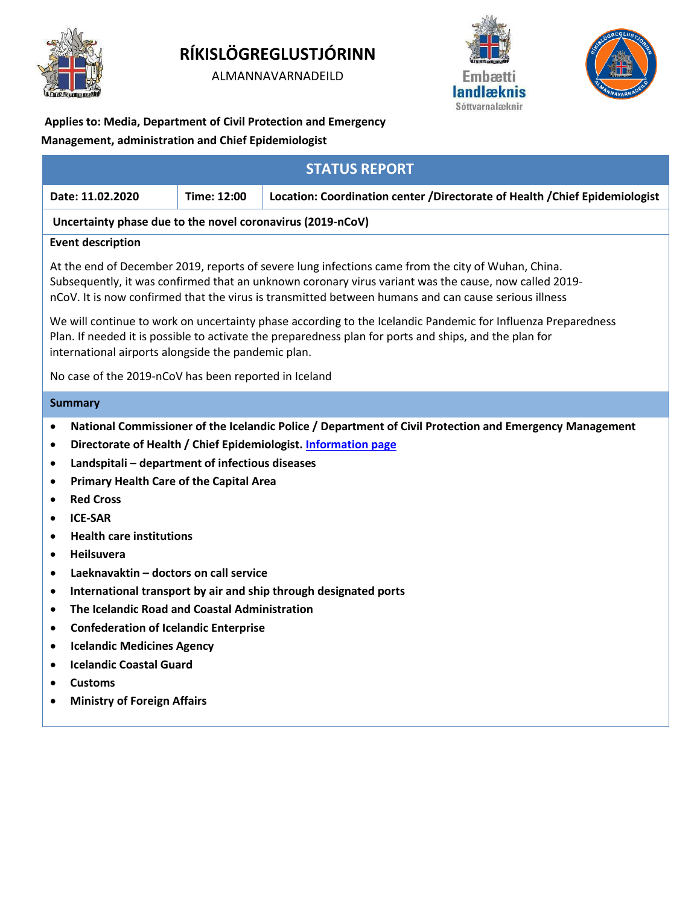

# **RÍKISLÖGREGLUSTJÓRINN**

ALMANNAVARNADEILD





**Applies to: Media, Department of Civil Protection and Emergency Management, administration and Chief Epidemiologist**

| <b>STATUS REPORT</b>                                                                                                                                                                                                                                                                                                                                                                                                                                                                                                                                                                                                                                                                                                                                                                                                                |             |                                                                              |
|-------------------------------------------------------------------------------------------------------------------------------------------------------------------------------------------------------------------------------------------------------------------------------------------------------------------------------------------------------------------------------------------------------------------------------------------------------------------------------------------------------------------------------------------------------------------------------------------------------------------------------------------------------------------------------------------------------------------------------------------------------------------------------------------------------------------------------------|-------------|------------------------------------------------------------------------------|
| Date: 11.02.2020                                                                                                                                                                                                                                                                                                                                                                                                                                                                                                                                                                                                                                                                                                                                                                                                                    | Time: 12:00 | Location: Coordination center / Directorate of Health / Chief Epidemiologist |
| Uncertainty phase due to the novel coronavirus (2019-nCoV)                                                                                                                                                                                                                                                                                                                                                                                                                                                                                                                                                                                                                                                                                                                                                                          |             |                                                                              |
| <b>Event description</b>                                                                                                                                                                                                                                                                                                                                                                                                                                                                                                                                                                                                                                                                                                                                                                                                            |             |                                                                              |
| At the end of December 2019, reports of severe lung infections came from the city of Wuhan, China.<br>Subsequently, it was confirmed that an unknown coronary virus variant was the cause, now called 2019-<br>nCoV. It is now confirmed that the virus is transmitted between humans and can cause serious illness                                                                                                                                                                                                                                                                                                                                                                                                                                                                                                                 |             |                                                                              |
| We will continue to work on uncertainty phase according to the Icelandic Pandemic for Influenza Preparedness<br>Plan. If needed it is possible to activate the preparedness plan for ports and ships, and the plan for<br>international airports alongside the pandemic plan.                                                                                                                                                                                                                                                                                                                                                                                                                                                                                                                                                       |             |                                                                              |
| No case of the 2019-nCoV has been reported in Iceland                                                                                                                                                                                                                                                                                                                                                                                                                                                                                                                                                                                                                                                                                                                                                                               |             |                                                                              |
| <b>Summary</b>                                                                                                                                                                                                                                                                                                                                                                                                                                                                                                                                                                                                                                                                                                                                                                                                                      |             |                                                                              |
| National Commissioner of the Icelandic Police / Department of Civil Protection and Emergency Management<br>$\bullet$<br>Directorate of Health / Chief Epidemiologist. Information page<br>٠<br>Landspitali - department of infectious diseases<br>٠<br><b>Primary Health Care of the Capital Area</b><br>٠<br><b>Red Cross</b><br>$\bullet$<br><b>ICE-SAR</b><br>$\bullet$<br><b>Health care institutions</b><br>٠<br><b>Heilsuvera</b><br>$\bullet$<br>Laeknavaktin - doctors on call service<br>٠<br>International transport by air and ship through designated ports<br>٠<br>The Icelandic Road and Coastal Administration<br>$\bullet$<br><b>Confederation of Icelandic Enterprise</b><br>٠<br><b>Icelandic Medicines Agency</b><br>٠<br><b>Icelandic Coastal Guard</b><br><b>Customs</b><br><b>Ministry of Foreign Affairs</b> |             |                                                                              |
|                                                                                                                                                                                                                                                                                                                                                                                                                                                                                                                                                                                                                                                                                                                                                                                                                                     |             |                                                                              |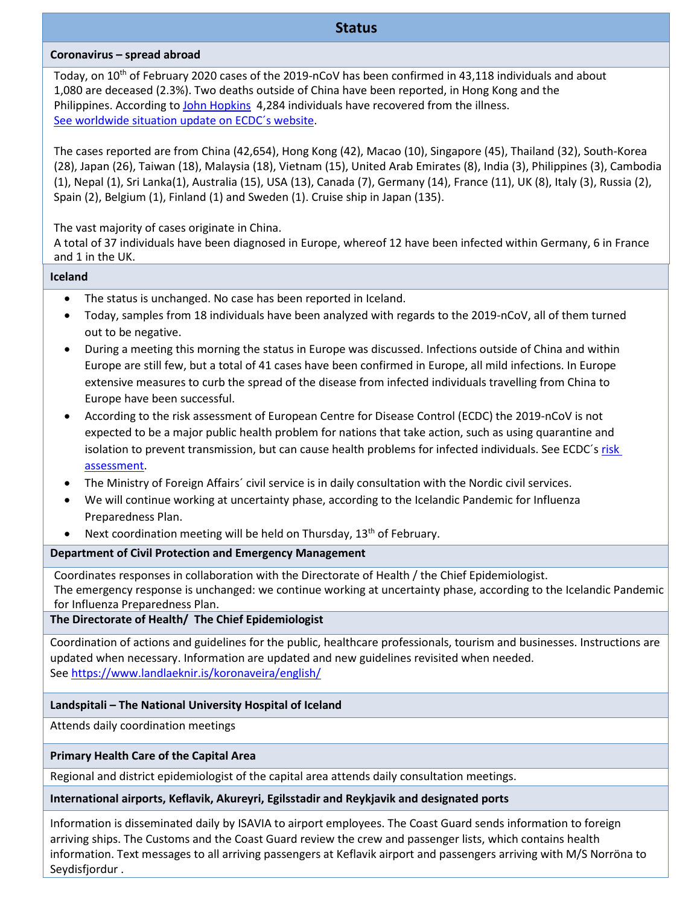# **Status**

### **Coronavirus – spread abroad**

Today, on 10<sup>th</sup> of February 2020 cases of the 2019-nCoV has been confirmed in 43,118 individuals and about 1,080 are deceased (2.3%). Two deaths outside of China have been reported, in Hong Kong and the Philippines. According to [John Hopkins](https://gisanddata.maps.arcgis.com/apps/opsdashboard/index.html#/bda7594740fd40299423467b48e9ecf6) 4,284 individuals have recovered from the illness. [See worldwide situation update on ECDC´s website.](https://www.ecdc.europa.eu/en/geographical-distribution-2019-ncov-cases)

The cases reported are from China (42,654), Hong Kong (42), Macao (10), Singapore (45), Thailand (32), South-Korea (28), Japan (26), Taiwan (18), Malaysia (18), Vietnam (15), United Arab Emirates (8), India (3), Philippines (3), Cambodia (1), Nepal (1), Sri Lanka(1), Australia (15), USA (13), Canada (7), Germany (14), France (11), UK (8), Italy (3), Russia (2), Spain (2), Belgium (1), Finland (1) and Sweden (1). Cruise ship in Japan (135).

The vast majority of cases originate in China.

A total of 37 individuals have been diagnosed in Europe, whereof 12 have been infected within Germany, 6 in France and 1 in the UK.

### **Iceland**

- The status is unchanged. No case has been reported in Iceland.
- Today, samples from 18 individuals have been analyzed with regards to the 2019-nCoV, all of them turned out to be negative.
- During a meeting this morning the status in Europe was discussed. Infections outside of China and within Europe are still few, but a total of 41 cases have been confirmed in Europe, all mild infections. In Europe extensive measures to curb the spread of the disease from infected individuals travelling from China to Europe have been successful.
- According to the risk assessment of European Centre for Disease Control (ECDC) the 2019-nCoV is not expected to be a major public health problem for nations that take action, such as using quarantine and isolation to prevent transmission, but can cause health problems for infected individuals. See ECDC´s [risk](https://www.ecdc.europa.eu/en/current-risk-assessment-novel-coronavirus-situation)  [assessment.](https://www.ecdc.europa.eu/en/current-risk-assessment-novel-coronavirus-situation)
- The Ministry of Foreign Affairs´ civil service is in daily consultation with the Nordic civil services.
- We will continue working at uncertainty phase, according to the Icelandic Pandemic for Influenza Preparedness Plan.
- Next coordination meeting will be held on Thursday,  $13<sup>th</sup>$  of February.

# **Department of Civil Protection and Emergency Management**

Coordinates responses in collaboration with the Directorate of Health / the Chief Epidemiologist. The emergency response is unchanged: we continue working at uncertainty phase, according to the Icelandic Pandemic for Influenza Preparedness Plan.

**The Directorate of Health/ The Chief Epidemiologist**

Coordination of actions and guidelines for the public, healthcare professionals, tourism and businesses. Instructions are updated when necessary. Information are updated and new guidelines revisited when needed. See<https://www.landlaeknir.is/koronaveira/english/>

# **Landspitali – The National University Hospital of Iceland**

Attends daily coordination meetings

# **Primary Health Care of the Capital Area**

Regional and district epidemiologist of the capital area attends daily consultation meetings.

# **International airports, Keflavik, Akureyri, Egilsstadir and Reykjavik and designated ports**

Information is disseminated daily by ISAVIA to airport employees. The Coast Guard sends information to foreign arriving ships. The Customs and the Coast Guard review the crew and passenger lists, which contains health information. Text messages to all arriving passengers at Keflavik airport and passengers arriving with M/S Norröna to Seydisfjordur .